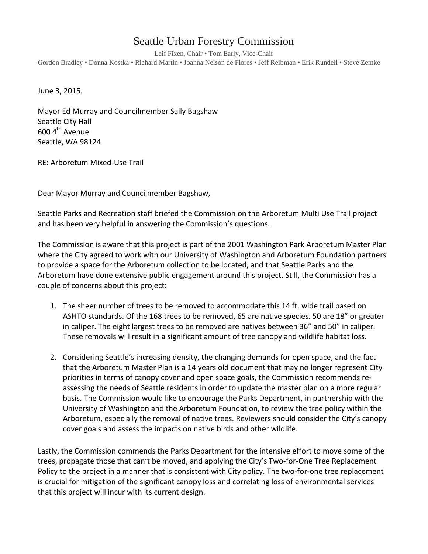## Seattle Urban Forestry Commission

Leif Fixen, Chair • Tom Early, Vice-Chair Gordon Bradley • Donna Kostka • Richard Martin • Joanna Nelson de Flores • Jeff Reibman • Erik Rundell • Steve Zemke

June 3, 2015.

Mayor Ed Murray and Councilmember Sally Bagshaw Seattle City Hall  $600$  4<sup>th</sup> Avenue Seattle, WA 98124

RE: Arboretum Mixed-Use Trail

Dear Mayor Murray and Councilmember Bagshaw,

Seattle Parks and Recreation staff briefed the Commission on the Arboretum Multi Use Trail project and has been very helpful in answering the Commission's questions.

The Commission is aware that this project is part of the 2001 Washington Park Arboretum Master Plan where the City agreed to work with our University of Washington and Arboretum Foundation partners to provide a space for the Arboretum collection to be located, and that Seattle Parks and the Arboretum have done extensive public engagement around this project. Still, the Commission has a couple of concerns about this project:

- 1. The sheer number of trees to be removed to accommodate this 14 ft. wide trail based on ASHTO standards. Of the 168 trees to be removed, 65 are native species. 50 are 18" or greater in caliper. The eight largest trees to be removed are natives between 36" and 50" in caliper. These removals will result in a significant amount of tree canopy and wildlife habitat loss.
- 2. Considering Seattle's increasing density, the changing demands for open space, and the fact that the Arboretum Master Plan is a 14 years old document that may no longer represent City priorities in terms of canopy cover and open space goals, the Commission recommends reassessing the needs of Seattle residents in order to update the master plan on a more regular basis. The Commission would like to encourage the Parks Department, in partnership with the University of Washington and the Arboretum Foundation, to review the tree policy within the Arboretum, especially the removal of native trees. Reviewers should consider the City's canopy cover goals and assess the impacts on native birds and other wildlife.

Lastly, the Commission commends the Parks Department for the intensive effort to move some of the trees, propagate those that can't be moved, and applying the City's Two-for-One Tree Replacement Policy to the project in a manner that is consistent with City policy. The two-for-one tree replacement is crucial for mitigation of the significant canopy loss and correlating loss of environmental services that this project will incur with its current design.